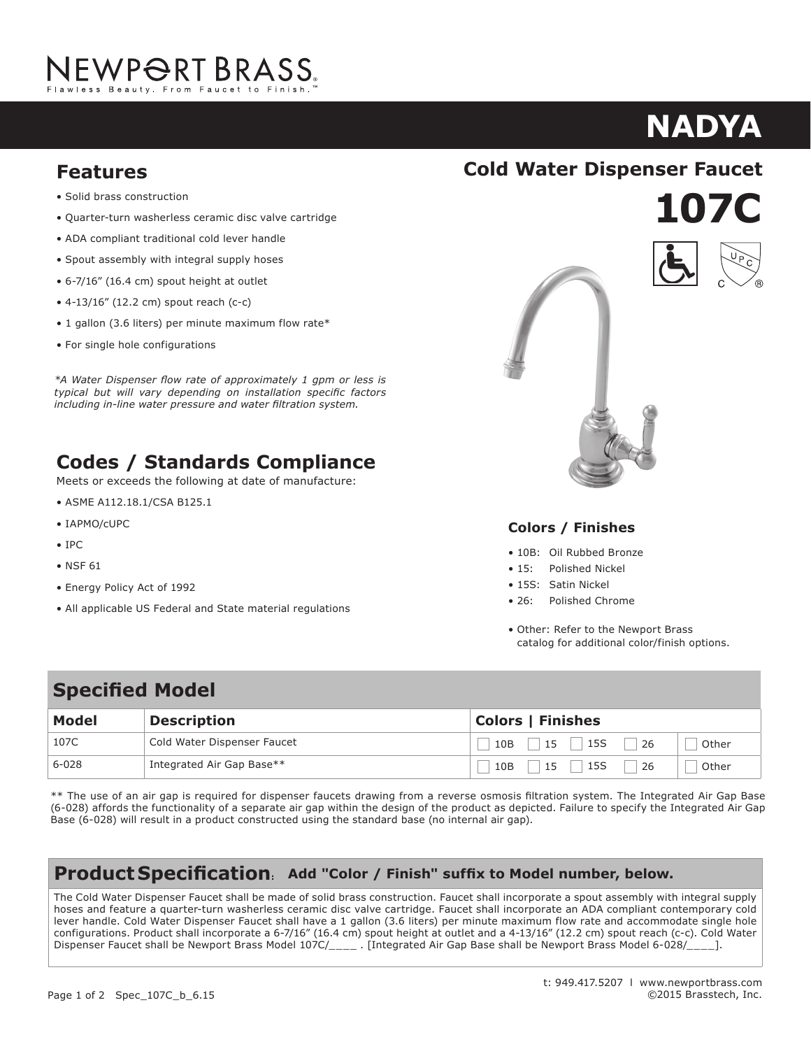# JEWP<del>O</del>RT BRASS.

### **nadya KA**

- **Features**<br>• Solid brass construction
- Quarter-turn washerless ceramic disc valve cartridge
- ADA compliant traditional cold lever handle
- Spout assembly with integral supply hoses
- $\bullet$  6-7/16" (16.4 cm) spout height at outlet
- $\bullet$  4-13/16" (12.2 cm) spout reach (c-c)
- 1 gallon (3.6 liters) per minute maximum flow rate\*
- For single hole configurations  $\frac{1}{2}$  . The first at outlet at outlet at outlet at outlet at outlet at outlet at outlet at  $\frac{1}{2}$

• 5-5/8" (14.3 cm) spout reach (c-c) *\*A Water Dispenser flow rate of approximately 1 gpm or less is* • For 8" (20.3 cm) centers - Maximum 20" (50.8 cm) *including in-line water pressure and water filtration system.typical but will vary depending on installation specific factors* 

#### **Codes / Standards Compliance Codes / Standards Compliance** Standards compliance

Meets or exceeds the following at date of manufacture: • And the company of a series of the series of the series of the series of the series of the series of the series of the series of the series of the series of the series of the series of the series of the series of the ser

- ASME A112.18.1/CSA B125.1
- IAPMO/cUPC
- IPC
- NSF 61
- Energy Policy Act of 1992
- All applicable US Federal and State material regulations





• Other: Refer to the Newport Brass catalog for







#### **Colors / Finishes**

- 10B: Oil Rubbed Bronze
- 15: Polished Nickel
- 15S: Satin Nickel
- **26:** Polished Chrome
- Other: Refer to the Newport Brass catalog for additional color/finish options. o the Newport Brass:

# **Specified Model**

| <b>Model</b> | <b>Description</b>          | <b>Colors   Finishes</b>        |
|--------------|-----------------------------|---------------------------------|
| 107C         | Cold Water Dispenser Faucet | 15S<br>26<br>15<br>10B<br>Other |
| $6 - 028$    | Integrated Air Gap Base**   | 15S<br>26<br>10B<br>15<br>Other |

\*\* The use of an air gap is required for dispenser faucets drawing from a reverse osmosis filtration system. The Integrated Air Gap Base (6-028) affords the functionality of a separate air gap within the design of the product as depicted. Failure to specify the Integrated Air Gap Base (6-028) will result in a product constructed using the standard base (no internal air gap).

#### **Product Specification: Add "Color / Finish" suffix to Model number, below.**

The Cold Water Dispenser Faucet shall be made of solid brass construction. Faucet shall incorporate a spout assembly with integral supply The Cold Water Dispenser Faucet shall be made of solid brass construction. Faucet shall incorporate a spout assembly with integral supply<br>hoses and feature a quarter-turn washerless ceramic disc valve cartridge. Faucet sha lever handle. Cold Water Dispenser Faucet shall have a 1 gallon (3.6 liters) per minute maximum flow rate and accommodate single hole configurations. Product shall incorporate a 6-7/16" (16.4 cm) spout height at outlet and a 4-13/16" (12.2 cm) spout reach (c-c). Cold Water Dispenser Faucet shall be Newport Brass Model 107C/\_\_\_\_\_ [Integrated Air Gap Base shall be Newport Brass Model 6-028/\_\_\_\_].  $1.5$  gallon (5.7 km) flow rate. Product shall be for  $\frac{1}{2}$  (20.3 cm) centers  $\frac{1}{2}$  (50.8 cm). Product shall be for  $\frac{1}{2}$  (50.8 cm).

incorporate a 1-7/16" (3.7 cm) spout height at outlet and a 5-5/8" (14.3 cm) spout reach (c-c). Faucet shall include a pop-up drain with